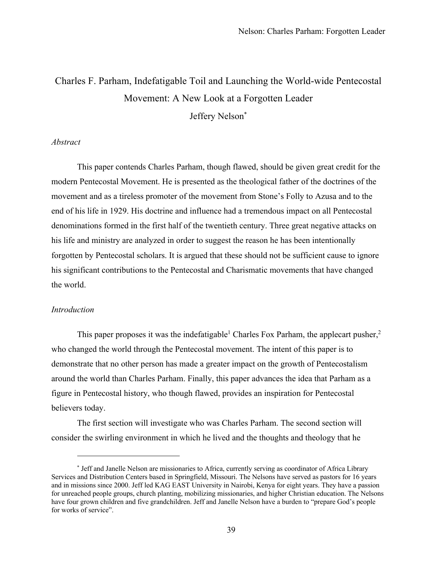# Charles F. Parham, Indefatigable Toil and Launching the World-wide Pentecostal Movement: A New Look at a Forgotten Leader

Jeffery Nelson<sup>\*</sup>

## *Abstract*

This paper contends Charles Parham, though flawed, should be given great credit for the modern Pentecostal Movement. He is presented as the theological father of the doctrines of the movement and as a tireless promoter of the movement from Stone's Folly to Azusa and to the end of his life in 1929. His doctrine and influence had a tremendous impact on all Pentecostal denominations formed in the first half of the twentieth century. Three great negative attacks on his life and ministry are analyzed in order to suggest the reason he has been intentionally forgotten by Pentecostal scholars. It is argued that these should not be sufficient cause to ignore his significant contributions to the Pentecostal and Charismatic movements that have changed the world.

#### *Introduction*

This paper proposes it was the indefatigable<sup>1</sup> Charles Fox Parham, the applecart pusher,<sup>2</sup> who changed the world through the Pentecostal movement. The intent of this paper is to demonstrate that no other person has made a greater impact on the growth of Pentecostalism around the world than Charles Parham. Finally, this paper advances the idea that Parham as a figure in Pentecostal history, who though flawed, provides an inspiration for Pentecostal believers today.

The first section will investigate who was Charles Parham. The second section will consider the swirling environment in which he lived and the thoughts and theology that he

<sup>\*</sup> Jeff and Janelle Nelson are missionaries to Africa, currently serving as coordinator of Africa Library Services and Distribution Centers based in Springfield, Missouri. The Nelsons have served as pastors for 16 years and in missions since 2000. Jeff led KAG EAST University in Nairobi, Kenya for eight years. They have a passion for unreached people groups, church planting, mobilizing missionaries, and higher Christian education. The Nelsons have four grown children and five grandchildren. Jeff and Janelle Nelson have a burden to "prepare God's people for works of service".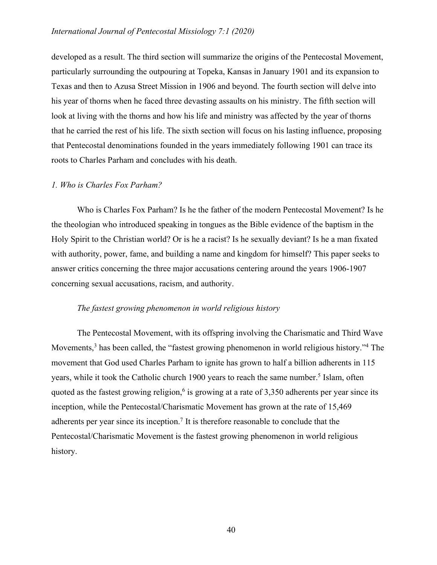## *International Journal of Pentecostal Missiology 7:1 (2020)*

developed as a result. The third section will summarize the origins of the Pentecostal Movement, particularly surrounding the outpouring at Topeka, Kansas in January 1901 and its expansion to Texas and then to Azusa Street Mission in 1906 and beyond. The fourth section will delve into his year of thorns when he faced three devasting assaults on his ministry. The fifth section will look at living with the thorns and how his life and ministry was affected by the year of thorns that he carried the rest of his life. The sixth section will focus on his lasting influence, proposing that Pentecostal denominations founded in the years immediately following 1901 can trace its roots to Charles Parham and concludes with his death.

## *1. Who is Charles Fox Parham?*

Who is Charles Fox Parham? Is he the father of the modern Pentecostal Movement? Is he the theologian who introduced speaking in tongues as the Bible evidence of the baptism in the Holy Spirit to the Christian world? Or is he a racist? Is he sexually deviant? Is he a man fixated with authority, power, fame, and building a name and kingdom for himself? This paper seeks to answer critics concerning the three major accusations centering around the years 1906-1907 concerning sexual accusations, racism, and authority.

#### *The fastest growing phenomenon in world religious history*

The Pentecostal Movement, with its offspring involving the Charismatic and Third Wave Movements,<sup>3</sup> has been called, the "fastest growing phenomenon in world religious history."<sup>4</sup> The movement that God used Charles Parham to ignite has grown to half a billion adherents in 115 years, while it took the Catholic church 1900 years to reach the same number.<sup>5</sup> Islam, often quoted as the fastest growing religion,<sup>6</sup> is growing at a rate of  $3,350$  adherents per year since its inception, while the Pentecostal/Charismatic Movement has grown at the rate of 15,469 adherents per year since its inception.<sup>7</sup> It is therefore reasonable to conclude that the Pentecostal/Charismatic Movement is the fastest growing phenomenon in world religious history.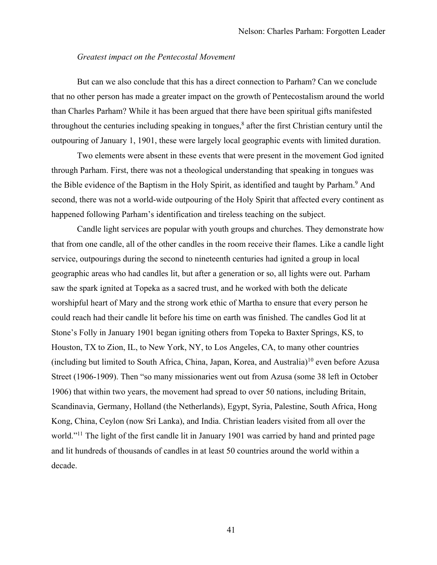## *Greatest impact on the Pentecostal Movement*

But can we also conclude that this has a direct connection to Parham? Can we conclude that no other person has made a greater impact on the growth of Pentecostalism around the world than Charles Parham? While it has been argued that there have been spiritual gifts manifested throughout the centuries including speaking in tongues, $\delta$  after the first Christian century until the outpouring of January 1, 1901, these were largely local geographic events with limited duration.

Two elements were absent in these events that were present in the movement God ignited through Parham. First, there was not a theological understanding that speaking in tongues was the Bible evidence of the Baptism in the Holy Spirit, as identified and taught by Parham.<sup>9</sup> And second, there was not a world-wide outpouring of the Holy Spirit that affected every continent as happened following Parham's identification and tireless teaching on the subject.

Candle light services are popular with youth groups and churches. They demonstrate how that from one candle, all of the other candles in the room receive their flames. Like a candle light service, outpourings during the second to nineteenth centuries had ignited a group in local geographic areas who had candles lit, but after a generation or so, all lights were out. Parham saw the spark ignited at Topeka as a sacred trust, and he worked with both the delicate worshipful heart of Mary and the strong work ethic of Martha to ensure that every person he could reach had their candle lit before his time on earth was finished. The candles God lit at Stone's Folly in January 1901 began igniting others from Topeka to Baxter Springs, KS, to Houston, TX to Zion, IL, to New York, NY, to Los Angeles, CA, to many other countries (including but limited to South Africa, China, Japan, Korea, and Australia)10 even before Azusa Street (1906-1909). Then "so many missionaries went out from Azusa (some 38 left in October 1906) that within two years, the movement had spread to over 50 nations, including Britain, Scandinavia, Germany, Holland (the Netherlands), Egypt, Syria, Palestine, South Africa, Hong Kong, China, Ceylon (now Sri Lanka), and India. Christian leaders visited from all over the world."<sup>11</sup> The light of the first candle lit in January 1901 was carried by hand and printed page and lit hundreds of thousands of candles in at least 50 countries around the world within a decade.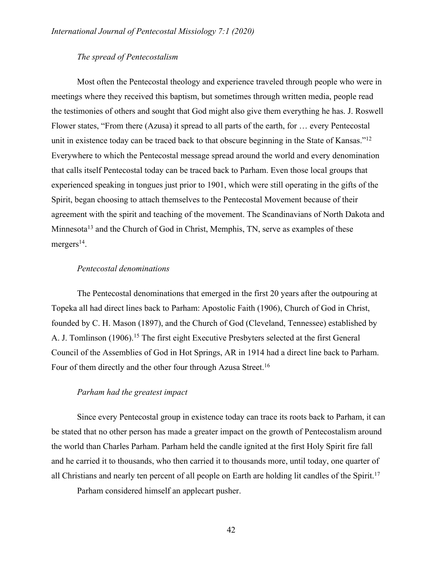# *The spread of Pentecostalism*

Most often the Pentecostal theology and experience traveled through people who were in meetings where they received this baptism, but sometimes through written media, people read the testimonies of others and sought that God might also give them everything he has. J. Roswell Flower states, "From there (Azusa) it spread to all parts of the earth, for … every Pentecostal unit in existence today can be traced back to that obscure beginning in the State of Kansas."<sup>12</sup> Everywhere to which the Pentecostal message spread around the world and every denomination that calls itself Pentecostal today can be traced back to Parham. Even those local groups that experienced speaking in tongues just prior to 1901, which were still operating in the gifts of the Spirit, began choosing to attach themselves to the Pentecostal Movement because of their agreement with the spirit and teaching of the movement. The Scandinavians of North Dakota and Minnesota<sup>13</sup> and the Church of God in Christ, Memphis, TN, serve as examples of these mergers<sup>14</sup>.

## *Pentecostal denominations*

The Pentecostal denominations that emerged in the first 20 years after the outpouring at Topeka all had direct lines back to Parham: Apostolic Faith (1906), Church of God in Christ, founded by C. H. Mason (1897), and the Church of God (Cleveland, Tennessee) established by A. J. Tomlinson (1906).<sup>15</sup> The first eight Executive Presbyters selected at the first General Council of the Assemblies of God in Hot Springs, AR in 1914 had a direct line back to Parham. Four of them directly and the other four through Azusa Street.<sup>16</sup>

#### *Parham had the greatest impact*

Since every Pentecostal group in existence today can trace its roots back to Parham, it can be stated that no other person has made a greater impact on the growth of Pentecostalism around the world than Charles Parham. Parham held the candle ignited at the first Holy Spirit fire fall and he carried it to thousands, who then carried it to thousands more, until today, one quarter of all Christians and nearly ten percent of all people on Earth are holding lit candles of the Spirit.17

Parham considered himself an applecart pusher.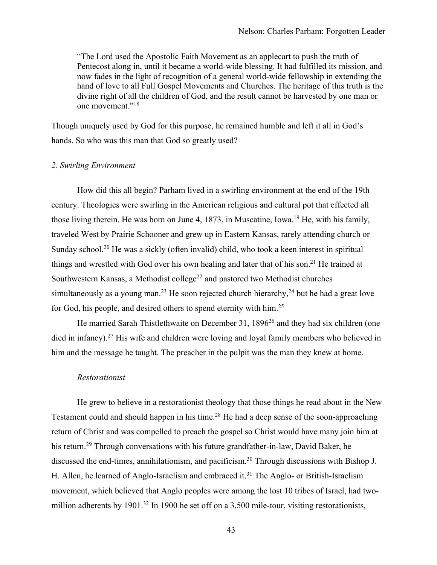"The Lord used the Apostolic Faith Movement as an applecart to push the truth of Pentecost along in, until it became a world-wide blessing. It had fulfilled its mission, and now fades in the light of recognition of a general world-wide fellowship in extending the hand of love to all Full Gospel Movements and Churches. The heritage of this truth is the divine right of all the children of God, and the result cannot be harvested by one man or one movement."18

Though uniquely used by God for this purpose, he remained humble and left it all in God's hands. So who was this man that God so greatly used?

#### *2. Swirling Environment*

How did this all begin? Parham lived in a swirling environment at the end of the 19th century. Theologies were swirling in the American religious and cultural pot that effected all those living therein. He was born on June 4, 1873, in Muscatine, Iowa. <sup>19</sup> He, with his family, traveled West by Prairie Schooner and grew up in Eastern Kansas, rarely attending church or Sunday school.<sup>20</sup> He was a sickly (often invalid) child, who took a keen interest in spiritual things and wrestled with God over his own healing and later that of his son.<sup>21</sup> He trained at Southwestern Kansas, a Methodist college<sup>22</sup> and pastored two Methodist churches simultaneously as a young man.<sup>23</sup> He soon rejected church hierarchy,<sup>24</sup> but he had a great love for God, his people, and desired others to spend eternity with him.25

He married Sarah Thistlethwaite on December 31, 1896<sup>26</sup> and they had six children (one died in infancy).<sup>27</sup> His wife and children were loving and loyal family members who believed in him and the message he taught. The preacher in the pulpit was the man they knew at home.

#### *Restorationist*

He grew to believe in a restorationist theology that those things he read about in the New Testament could and should happen in his time.<sup>28</sup> He had a deep sense of the soon-approaching return of Christ and was compelled to preach the gospel so Christ would have many join him at his return.<sup>29</sup> Through conversations with his future grandfather-in-law, David Baker, he discussed the end-times, annihilationism, and pacificism.30 Through discussions with Bishop J. H. Allen, he learned of Anglo-Israelism and embraced it.<sup>31</sup> The Anglo- or British-Israelism movement, which believed that Anglo peoples were among the lost 10 tribes of Israel, had twomillion adherents by 1901.<sup>32</sup> In 1900 he set off on a 3,500 mile-tour, visiting restorationists,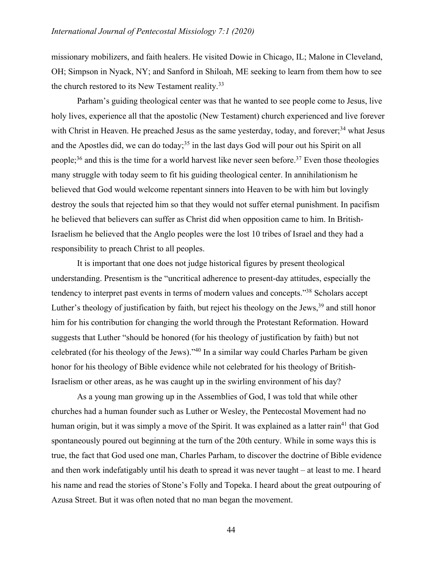missionary mobilizers, and faith healers. He visited Dowie in Chicago, IL; Malone in Cleveland, OH; Simpson in Nyack, NY; and Sanford in Shiloah, ME seeking to learn from them how to see the church restored to its New Testament reality.<sup>33</sup>

Parham's guiding theological center was that he wanted to see people come to Jesus, live holy lives, experience all that the apostolic (New Testament) church experienced and live forever with Christ in Heaven. He preached Jesus as the same yesterday, today, and forever;<sup>34</sup> what Jesus and the Apostles did, we can do today;<sup>35</sup> in the last days God will pour out his Spirit on all people;<sup>36</sup> and this is the time for a world harvest like never seen before.<sup>37</sup> Even those theologies many struggle with today seem to fit his guiding theological center. In annihilationism he believed that God would welcome repentant sinners into Heaven to be with him but lovingly destroy the souls that rejected him so that they would not suffer eternal punishment. In pacifism he believed that believers can suffer as Christ did when opposition came to him. In British-Israelism he believed that the Anglo peoples were the lost 10 tribes of Israel and they had a responsibility to preach Christ to all peoples.

It is important that one does not judge historical figures by present theological understanding. Presentism is the "uncritical adherence to present-day attitudes, especially the tendency to interpret past events in terms of modern values and concepts."38 Scholars accept Luther's theology of justification by faith, but reject his theology on the Jews,  $39$  and still honor him for his contribution for changing the world through the Protestant Reformation. Howard suggests that Luther "should be honored (for his theology of justification by faith) but not celebrated (for his theology of the Jews)."40 In a similar way could Charles Parham be given honor for his theology of Bible evidence while not celebrated for his theology of British-Israelism or other areas, as he was caught up in the swirling environment of his day?

As a young man growing up in the Assemblies of God, I was told that while other churches had a human founder such as Luther or Wesley, the Pentecostal Movement had no human origin, but it was simply a move of the Spirit. It was explained as a latter rain<sup>41</sup> that God spontaneously poured out beginning at the turn of the 20th century. While in some ways this is true, the fact that God used one man, Charles Parham, to discover the doctrine of Bible evidence and then work indefatigably until his death to spread it was never taught – at least to me. I heard his name and read the stories of Stone's Folly and Topeka. I heard about the great outpouring of Azusa Street. But it was often noted that no man began the movement.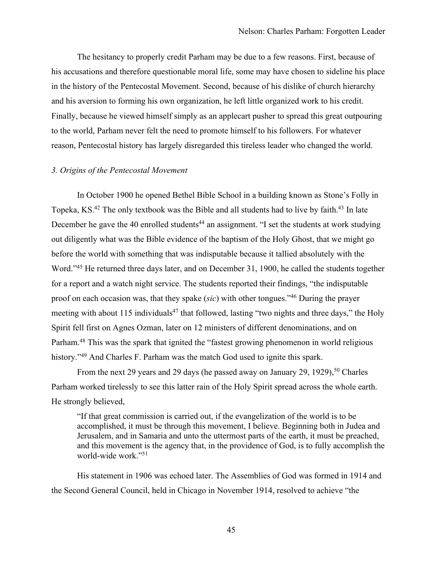The hesitancy to properly credit Parham may be due to a few reasons. First, because of his accusations and therefore questionable moral life, some may have chosen to sideline his place in the history of the Pentecostal Movement. Second, because of his dislike of church hierarchy and his aversion to forming his own organization, he left little organized work to his credit. Finally, because he viewed himself simply as an applecart pusher to spread this great outpouring to the world, Parham never felt the need to promote himself to his followers. For whatever reason, Pentecostal history has largely disregarded this tireless leader who changed the world.

#### *3. Origins of the Pentecostal Movement*

In October 1900 he opened Bethel Bible School in a building known as Stone's Folly in Topeka, KS.<sup>42</sup> The only textbook was the Bible and all students had to live by faith.<sup>43</sup> In late December he gave the 40 enrolled students<sup>44</sup> an assignment. "I set the students at work studying out diligently what was the Bible evidence of the baptism of the Holy Ghost, that we might go before the world with something that was indisputable because it tallied absolutely with the Word."45 He returned three days later, and on December 31, 1900, he called the students together for a report and a watch night service. The students reported their findings, "the indisputable proof on each occasion was, that they spake (*sic*) with other tongues."46 During the prayer meeting with about 115 individuals<sup>47</sup> that followed, lasting "two nights and three days," the Holy Spirit fell first on Agnes Ozman, later on 12 ministers of different denominations, and on Parham.<sup>48</sup> This was the spark that ignited the "fastest growing phenomenon in world religious history."<sup>49</sup> And Charles F. Parham was the match God used to ignite this spark.

From the next 29 years and 29 days (he passed away on January 29, 1929),<sup>50</sup> Charles Parham worked tirelessly to see this latter rain of the Holy Spirit spread across the whole earth. He strongly believed,

"If that great commission is carried out, if the evangelization of the world is to be accomplished, it must be through this movement, I believe. Beginning both in Judea and Jerusalem, and in Samaria and unto the uttermost parts of the earth, it must be preached, and this movement is the agency that, in the providence of God, is to fully accomplish the world-wide work."51

His statement in 1906 was echoed later. The Assemblies of God was formed in 1914 and the Second General Council, held in Chicago in November 1914, resolved to achieve "the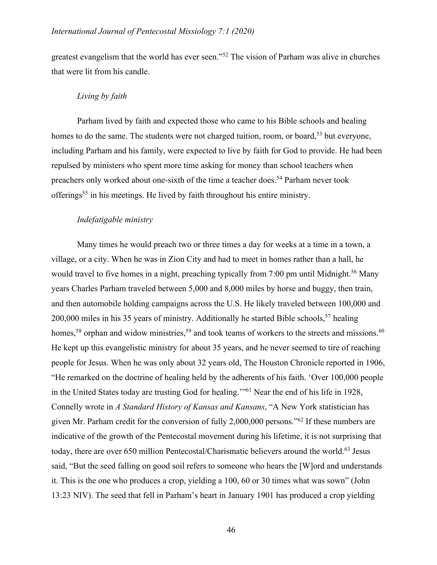greatest evangelism that the world has ever seen."52 The vision of Parham was alive in churches that were lit from his candle.

## *Living by faith*

Parham lived by faith and expected those who came to his Bible schools and healing homes to do the same. The students were not charged tuition, room, or board,<sup>53</sup> but everyone, including Parham and his family, were expected to live by faith for God to provide. He had been repulsed by ministers who spent more time asking for money than school teachers when preachers only worked about one-sixth of the time a teacher does.54 Parham never took offerings<sup>55</sup> in his meetings. He lived by faith throughout his entire ministry.

# *Indefatigable ministry*

Many times he would preach two or three times a day for weeks at a time in a town, a village, or a city. When he was in Zion City and had to meet in homes rather than a hall, he would travel to five homes in a night, preaching typically from 7:00 pm until Midnight.<sup>56</sup> Many years Charles Parham traveled between 5,000 and 8,000 miles by horse and buggy, then train, and then automobile holding campaigns across the U.S. He likely traveled between 100,000 and  $200,000$  miles in his 35 years of ministry. Additionally he started Bible schools,<sup>57</sup> healing homes,<sup>58</sup> orphan and widow ministries,<sup>59</sup> and took teams of workers to the streets and missions.<sup>60</sup> He kept up this evangelistic ministry for about 35 years, and he never seemed to tire of reaching people for Jesus. When he was only about 32 years old, The Houston Chronicle reported in 1906, "He remarked on the doctrine of healing held by the adherents of his faith. 'Over 100,000 people in the United States today are trusting God for healing.'"61 Near the end of his life in 1928, Connelly wrote in *A Standard History of Kansas and Kansans*, "A New York statistician has given Mr. Parham credit for the conversion of fully 2,000,000 persons."62 If these numbers are indicative of the growth of the Pentecostal movement during his lifetime, it is not surprising that today, there are over 650 million Pentecostal/Charismatic believers around the world.<sup>63</sup> Jesus said, "But the seed falling on good soil refers to someone who hears the [W]ord and understands it. This is the one who produces a crop, yielding a 100, 60 or 30 times what was sown" (John 13:23 NIV). The seed that fell in Parham's heart in January 1901 has produced a crop yielding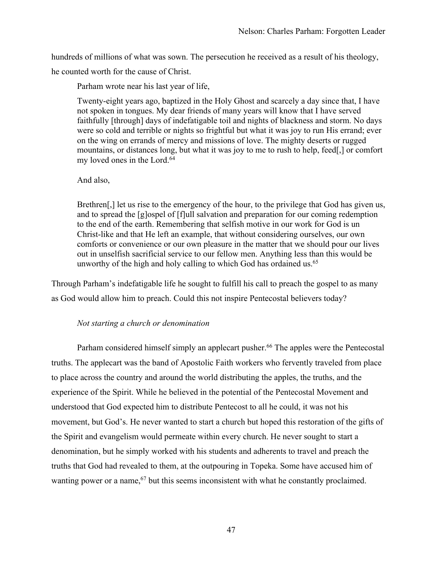hundreds of millions of what was sown. The persecution he received as a result of his theology,

he counted worth for the cause of Christ.

Parham wrote near his last year of life,

Twenty-eight years ago, baptized in the Holy Ghost and scarcely a day since that, I have not spoken in tongues. My dear friends of many years will know that I have served faithfully [through] days of indefatigable toil and nights of blackness and storm. No days were so cold and terrible or nights so frightful but what it was joy to run His errand; ever on the wing on errands of mercy and missions of love. The mighty deserts or rugged mountains, or distances long, but what it was joy to me to rush to help, feed[,] or comfort my loved ones in the Lord.<sup>64</sup>

And also,

Brethren, let us rise to the emergency of the hour, to the privilege that God has given us, and to spread the [g]ospel of [f]ull salvation and preparation for our coming redemption to the end of the earth. Remembering that selfish motive in our work for God is un Christ-like and that He left an example, that without considering ourselves, our own comforts or convenience or our own pleasure in the matter that we should pour our lives out in unselfish sacrificial service to our fellow men. Anything less than this would be unworthy of the high and holy calling to which God has ordained us.<sup>65</sup>

Through Parham's indefatigable life he sought to fulfill his call to preach the gospel to as many as God would allow him to preach. Could this not inspire Pentecostal believers today?

# *Not starting a church or denomination*

Parham considered himself simply an applecart pusher.<sup>66</sup> The apples were the Pentecostal truths. The applecart was the band of Apostolic Faith workers who fervently traveled from place to place across the country and around the world distributing the apples, the truths, and the experience of the Spirit. While he believed in the potential of the Pentecostal Movement and understood that God expected him to distribute Pentecost to all he could, it was not his movement, but God's. He never wanted to start a church but hoped this restoration of the gifts of the Spirit and evangelism would permeate within every church. He never sought to start a denomination, but he simply worked with his students and adherents to travel and preach the truths that God had revealed to them, at the outpouring in Topeka. Some have accused him of wanting power or a name,  $67$  but this seems inconsistent with what he constantly proclaimed.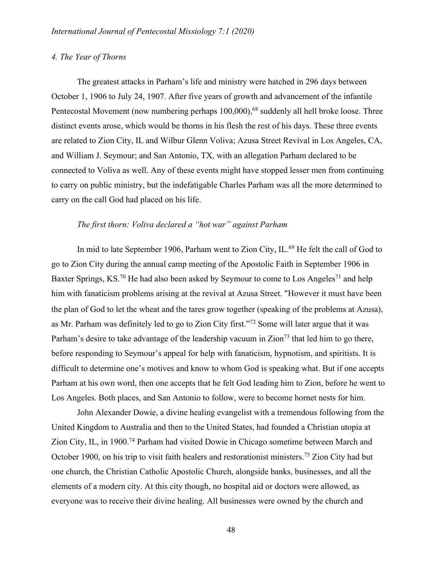## *4. The Year of Thorns*

The greatest attacks in Parham's life and ministry were hatched in 296 days between October 1, 1906 to July 24, 1907. After five years of growth and advancement of the infantile Pentecostal Movement (now numbering perhaps 100,000),<sup>68</sup> suddenly all hell broke loose. Three distinct events arose, which would be thorns in his flesh the rest of his days. These three events are related to Zion City, IL and Wilbur Glenn Voliva; Azusa Street Revival in Los Angeles, CA, and William J. Seymour; and San Antonio, TX, with an allegation Parham declared to be connected to Voliva as well. Any of these events might have stopped lesser men from continuing to carry on public ministry, but the indefatigable Charles Parham was all the more determined to carry on the call God had placed on his life.

## *The first thorn: Voliva declared a "hot war" against Parham*

In mid to late September 1906, Parham went to Zion City, IL.<sup>69</sup> He felt the call of God to go to Zion City during the annual camp meeting of the Apostolic Faith in September 1906 in Baxter Springs, KS.<sup>70</sup> He had also been asked by Seymour to come to Los Angeles<sup>71</sup> and help him with fanaticism problems arising at the revival at Azusa Street. "However it must have been the plan of God to let the wheat and the tares grow together (speaking of the problems at Azusa), as Mr. Parham was definitely led to go to Zion City first."72 Some will later argue that it was Parham's desire to take advantage of the leadership vacuum in  $Z$ ion<sup>73</sup> that led him to go there, before responding to Seymour's appeal for help with fanaticism, hypnotism, and spiritists. It is difficult to determine one's motives and know to whom God is speaking what. But if one accepts Parham at his own word, then one accepts that he felt God leading him to Zion, before he went to Los Angeles. Both places, and San Antonio to follow, were to become hornet nests for him.

John Alexander Dowie, a divine healing evangelist with a tremendous following from the United Kingdom to Australia and then to the United States, had founded a Christian utopia at Zion City, IL, in 1900.<sup>74</sup> Parham had visited Dowie in Chicago sometime between March and October 1900, on his trip to visit faith healers and restorationist ministers.<sup>75</sup> Zion City had but one church, the Christian Catholic Apostolic Church, alongside banks, businesses, and all the elements of a modern city. At this city though, no hospital aid or doctors were allowed, as everyone was to receive their divine healing. All businesses were owned by the church and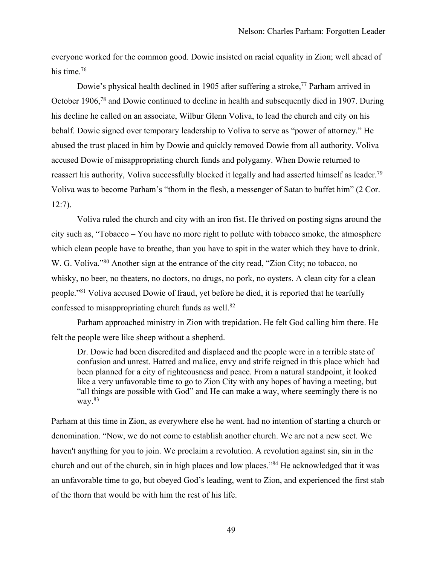everyone worked for the common good. Dowie insisted on racial equality in Zion; well ahead of his time.<sup>76</sup>

Dowie's physical health declined in 1905 after suffering a stroke,<sup>77</sup> Parham arrived in October 1906,78 and Dowie continued to decline in health and subsequently died in 1907. During his decline he called on an associate, Wilbur Glenn Voliva, to lead the church and city on his behalf. Dowie signed over temporary leadership to Voliva to serve as "power of attorney." He abused the trust placed in him by Dowie and quickly removed Dowie from all authority. Voliva accused Dowie of misappropriating church funds and polygamy. When Dowie returned to reassert his authority, Voliva successfully blocked it legally and had asserted himself as leader.<sup>79</sup> Voliva was to become Parham's "thorn in the flesh, a messenger of Satan to buffet him" (2 Cor. 12:7).

Voliva ruled the church and city with an iron fist. He thrived on posting signs around the city such as, "Tobacco – You have no more right to pollute with tobacco smoke, the atmosphere which clean people have to breathe, than you have to spit in the water which they have to drink. W. G. Voliva."<sup>80</sup> Another sign at the entrance of the city read, "Zion City; no tobacco, no whisky, no beer, no theaters, no doctors, no drugs, no pork, no oysters. A clean city for a clean people."81 Voliva accused Dowie of fraud, yet before he died, it is reported that he tearfully confessed to misappropriating church funds as well. $82$ 

Parham approached ministry in Zion with trepidation. He felt God calling him there. He felt the people were like sheep without a shepherd.

Dr. Dowie had been discredited and displaced and the people were in a terrible state of confusion and unrest. Hatred and malice, envy and strife reigned in this place which had been planned for a city of righteousness and peace. From a natural standpoint, it looked like a very unfavorable time to go to Zion City with any hopes of having a meeting, but "all things are possible with God" and He can make a way, where seemingly there is no way. $83$ 

Parham at this time in Zion, as everywhere else he went. had no intention of starting a church or denomination. "Now, we do not come to establish another church. We are not a new sect. We haven't anything for you to join. We proclaim a revolution. A revolution against sin, sin in the church and out of the church, sin in high places and low places."84 He acknowledged that it was an unfavorable time to go, but obeyed God's leading, went to Zion, and experienced the first stab of the thorn that would be with him the rest of his life.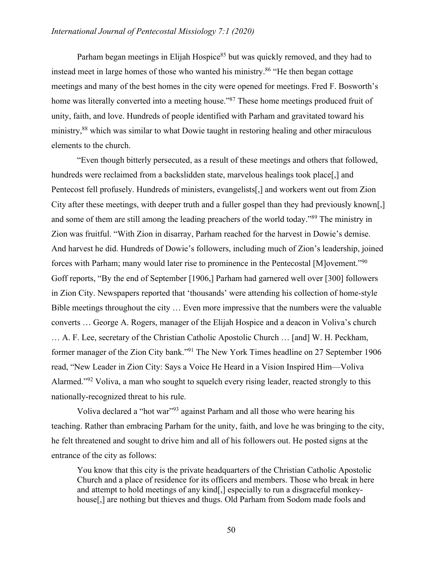## *International Journal of Pentecostal Missiology 7:1 (2020)*

Parham began meetings in Elijah Hospice<sup>85</sup> but was quickly removed, and they had to instead meet in large homes of those who wanted his ministry.<sup>86</sup> "He then began cottage meetings and many of the best homes in the city were opened for meetings. Fred F. Bosworth's home was literally converted into a meeting house."<sup>87</sup> These home meetings produced fruit of unity, faith, and love. Hundreds of people identified with Parham and gravitated toward his ministry,<sup>88</sup> which was similar to what Dowie taught in restoring healing and other miraculous elements to the church.

"Even though bitterly persecuted, as a result of these meetings and others that followed, hundreds were reclaimed from a backslidden state, marvelous healings took place, and Pentecost fell profusely. Hundreds of ministers, evangelists[,] and workers went out from Zion City after these meetings, with deeper truth and a fuller gospel than they had previously known[,] and some of them are still among the leading preachers of the world today."89 The ministry in Zion was fruitful. "With Zion in disarray, Parham reached for the harvest in Dowie's demise. And harvest he did. Hundreds of Dowie's followers, including much of Zion's leadership, joined forces with Parham; many would later rise to prominence in the Pentecostal [M]ovement."90 Goff reports, "By the end of September [1906,] Parham had garnered well over [300] followers in Zion City. Newspapers reported that 'thousands' were attending his collection of home-style Bible meetings throughout the city … Even more impressive that the numbers were the valuable converts … George A. Rogers, manager of the Elijah Hospice and a deacon in Voliva's church … A. F. Lee, secretary of the Christian Catholic Apostolic Church … [and] W. H. Peckham, former manager of the Zion City bank."91 The New York Times headline on 27 September 1906 read, "New Leader in Zion City: Says a Voice He Heard in a Vision Inspired Him—Voliva Alarmed."<sup>92</sup> Voliva, a man who sought to squelch every rising leader, reacted strongly to this nationally-recognized threat to his rule.

Voliva declared a "hot war"93 against Parham and all those who were hearing his teaching. Rather than embracing Parham for the unity, faith, and love he was bringing to the city, he felt threatened and sought to drive him and all of his followers out. He posted signs at the entrance of the city as follows:

You know that this city is the private headquarters of the Christian Catholic Apostolic Church and a place of residence for its officers and members. Those who break in here and attempt to hold meetings of any kind[,] especially to run a disgraceful monkeyhouse[,] are nothing but thieves and thugs. Old Parham from Sodom made fools and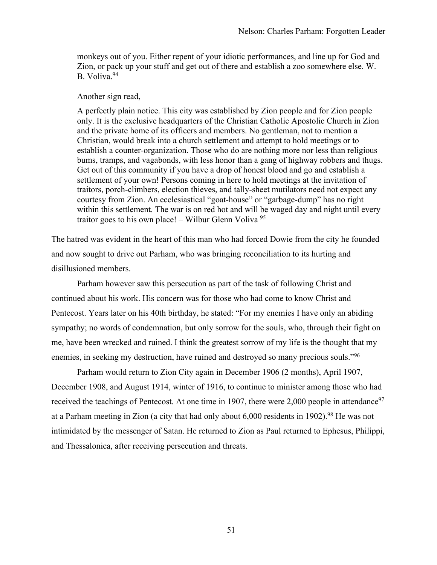monkeys out of you. Either repent of your idiotic performances, and line up for God and Zion, or pack up your stuff and get out of there and establish a zoo somewhere else. W. B. Voliva.<sup>94</sup>

Another sign read,

A perfectly plain notice. This city was established by Zion people and for Zion people only. It is the exclusive headquarters of the Christian Catholic Apostolic Church in Zion and the private home of its officers and members. No gentleman, not to mention a Christian, would break into a church settlement and attempt to hold meetings or to establish a counter-organization. Those who do are nothing more nor less than religious bums, tramps, and vagabonds, with less honor than a gang of highway robbers and thugs. Get out of this community if you have a drop of honest blood and go and establish a settlement of your own! Persons coming in here to hold meetings at the invitation of traitors, porch-climbers, election thieves, and tally-sheet mutilators need not expect any courtesy from Zion. An ecclesiastical "goat-house" or "garbage-dump" has no right within this settlement. The war is on red hot and will be waged day and night until every traitor goes to his own place! – Wilbur Glenn Voliva<sup>95</sup>

The hatred was evident in the heart of this man who had forced Dowie from the city he founded and now sought to drive out Parham, who was bringing reconciliation to its hurting and disillusioned members.

Parham however saw this persecution as part of the task of following Christ and continued about his work. His concern was for those who had come to know Christ and Pentecost. Years later on his 40th birthday, he stated: "For my enemies I have only an abiding sympathy; no words of condemnation, but only sorrow for the souls, who, through their fight on me, have been wrecked and ruined. I think the greatest sorrow of my life is the thought that my enemies, in seeking my destruction, have ruined and destroyed so many precious souls."96

Parham would return to Zion City again in December 1906 (2 months), April 1907, December 1908, and August 1914, winter of 1916, to continue to minister among those who had received the teachings of Pentecost. At one time in 1907, there were 2,000 people in attendance<sup>97</sup> at a Parham meeting in Zion (a city that had only about 6,000 residents in 1902).<sup>98</sup> He was not intimidated by the messenger of Satan. He returned to Zion as Paul returned to Ephesus, Philippi, and Thessalonica, after receiving persecution and threats.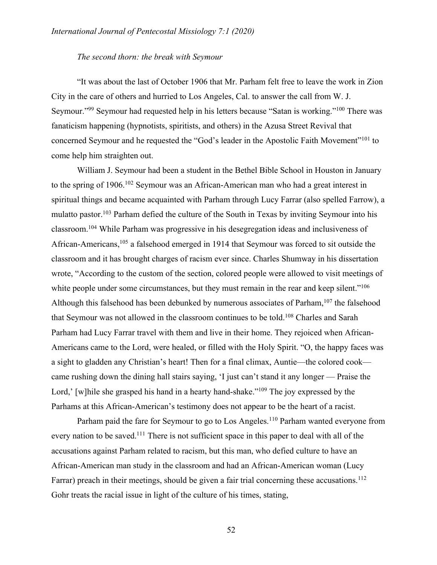#### *The second thorn: the break with Seymour*

"It was about the last of October 1906 that Mr. Parham felt free to leave the work in Zion City in the care of others and hurried to Los Angeles, Cal. to answer the call from W. J. Seymour."99 Seymour had requested help in his letters because "Satan is working."100 There was fanaticism happening (hypnotists, spiritists, and others) in the Azusa Street Revival that concerned Seymour and he requested the "God's leader in the Apostolic Faith Movement"<sup>101</sup> to come help him straighten out.

William J. Seymour had been a student in the Bethel Bible School in Houston in January to the spring of 1906.102 Seymour was an African-American man who had a great interest in spiritual things and became acquainted with Parham through Lucy Farrar (also spelled Farrow), a mulatto pastor.<sup>103</sup> Parham defied the culture of the South in Texas by inviting Seymour into his classroom.104 While Parham was progressive in his desegregation ideas and inclusiveness of African-Americans,<sup>105</sup> a falsehood emerged in 1914 that Seymour was forced to sit outside the classroom and it has brought charges of racism ever since. Charles Shumway in his dissertation wrote, "According to the custom of the section, colored people were allowed to visit meetings of white people under some circumstances, but they must remain in the rear and keep silent."<sup>106</sup> Although this falsehood has been debunked by numerous associates of Parham,<sup>107</sup> the falsehood that Seymour was not allowed in the classroom continues to be told.<sup>108</sup> Charles and Sarah Parham had Lucy Farrar travel with them and live in their home. They rejoiced when African-Americans came to the Lord, were healed, or filled with the Holy Spirit. "O, the happy faces was a sight to gladden any Christian's heart! Then for a final climax, Auntie—the colored cook came rushing down the dining hall stairs saying, 'I just can't stand it any longer — Praise the Lord,' [w]hile she grasped his hand in a hearty hand-shake."<sup>109</sup> The joy expressed by the Parhams at this African-American's testimony does not appear to be the heart of a racist.

Parham paid the fare for Seymour to go to Los Angeles.<sup>110</sup> Parham wanted everyone from every nation to be saved.<sup>111</sup> There is not sufficient space in this paper to deal with all of the accusations against Parham related to racism, but this man, who defied culture to have an African-American man study in the classroom and had an African-American woman (Lucy Farrar) preach in their meetings, should be given a fair trial concerning these accusations.<sup>112</sup> Gohr treats the racial issue in light of the culture of his times, stating,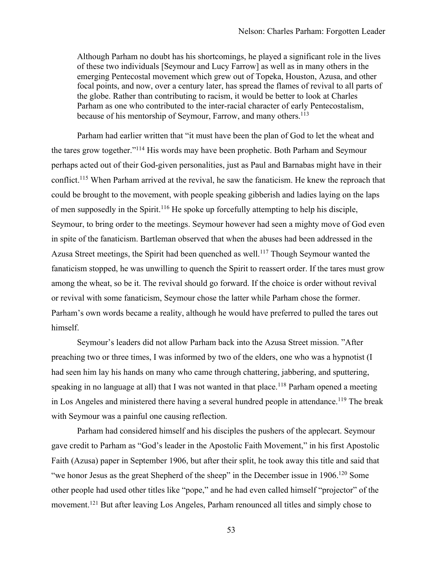Although Parham no doubt has his shortcomings, he played a significant role in the lives of these two individuals [Seymour and Lucy Farrow] as well as in many others in the emerging Pentecostal movement which grew out of Topeka, Houston, Azusa, and other focal points, and now, over a century later, has spread the flames of revival to all parts of the globe. Rather than contributing to racism, it would be better to look at Charles Parham as one who contributed to the inter-racial character of early Pentecostalism, because of his mentorship of Seymour, Farrow, and many others.<sup>113</sup>

Parham had earlier written that "it must have been the plan of God to let the wheat and the tares grow together."114 His words may have been prophetic. Both Parham and Seymour perhaps acted out of their God-given personalities, just as Paul and Barnabas might have in their conflict.<sup>115</sup> When Parham arrived at the revival, he saw the fanaticism. He knew the reproach that could be brought to the movement, with people speaking gibberish and ladies laying on the laps of men supposedly in the Spirit.<sup>116</sup> He spoke up forcefully attempting to help his disciple, Seymour, to bring order to the meetings. Seymour however had seen a mighty move of God even in spite of the fanaticism. Bartleman observed that when the abuses had been addressed in the Azusa Street meetings, the Spirit had been quenched as well.<sup>117</sup> Though Seymour wanted the fanaticism stopped, he was unwilling to quench the Spirit to reassert order. If the tares must grow among the wheat, so be it. The revival should go forward. If the choice is order without revival or revival with some fanaticism, Seymour chose the latter while Parham chose the former. Parham's own words became a reality, although he would have preferred to pulled the tares out himself.

Seymour's leaders did not allow Parham back into the Azusa Street mission. "After preaching two or three times, I was informed by two of the elders, one who was a hypnotist (I had seen him lay his hands on many who came through chattering, jabbering, and sputtering, speaking in no language at all) that I was not wanted in that place.<sup>118</sup> Parham opened a meeting in Los Angeles and ministered there having a several hundred people in attendance.<sup>119</sup> The break with Seymour was a painful one causing reflection.

Parham had considered himself and his disciples the pushers of the applecart. Seymour gave credit to Parham as "God's leader in the Apostolic Faith Movement," in his first Apostolic Faith (Azusa) paper in September 1906, but after their split, he took away this title and said that "we honor Jesus as the great Shepherd of the sheep" in the December issue in 1906.<sup>120</sup> Some other people had used other titles like "pope," and he had even called himself "projector" of the movement.121 But after leaving Los Angeles, Parham renounced all titles and simply chose to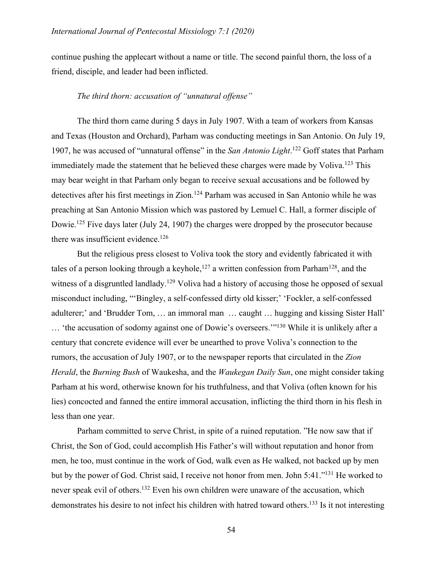continue pushing the applecart without a name or title. The second painful thorn, the loss of a friend, disciple, and leader had been inflicted.

#### *The third thorn: accusation of "unnatural offense"*

The third thorn came during 5 days in July 1907. With a team of workers from Kansas and Texas (Houston and Orchard), Parham was conducting meetings in San Antonio. On July 19, 1907, he was accused of "unnatural offense" in the *San Antonio Light*.<sup>122</sup> Goff states that Parham immediately made the statement that he believed these charges were made by Voliva.<sup>123</sup> This may bear weight in that Parham only began to receive sexual accusations and be followed by detectives after his first meetings in Zion.<sup>124</sup> Parham was accused in San Antonio while he was preaching at San Antonio Mission which was pastored by Lemuel C. Hall, a former disciple of Dowie.<sup>125</sup> Five days later (July 24, 1907) the charges were dropped by the prosecutor because there was insufficient evidence.<sup>126</sup>

But the religious press closest to Voliva took the story and evidently fabricated it with tales of a person looking through a keyhole,<sup>127</sup> a written confession from Parham<sup>128</sup>, and the witness of a disgruntled landlady.<sup>129</sup> Voliva had a history of accusing those he opposed of sexual misconduct including, "'Bingley, a self-confessed dirty old kisser;' 'Fockler, a self-confessed adulterer;' and 'Brudder Tom, … an immoral man … caught … hugging and kissing Sister Hall' … 'the accusation of sodomy against one of Dowie's overseers.'"130 While it is unlikely after a century that concrete evidence will ever be unearthed to prove Voliva's connection to the rumors, the accusation of July 1907, or to the newspaper reports that circulated in the *Zion Herald*, the *Burning Bush* of Waukesha, and the *Waukegan Daily Sun*, one might consider taking Parham at his word, otherwise known for his truthfulness, and that Voliva (often known for his lies) concocted and fanned the entire immoral accusation, inflicting the third thorn in his flesh in less than one year.

Parham committed to serve Christ, in spite of a ruined reputation. "He now saw that if Christ, the Son of God, could accomplish His Father's will without reputation and honor from men, he too, must continue in the work of God, walk even as He walked, not backed up by men but by the power of God. Christ said, I receive not honor from men. John 5:41."131 He worked to never speak evil of others.<sup>132</sup> Even his own children were unaware of the accusation, which demonstrates his desire to not infect his children with hatred toward others.133 Is it not interesting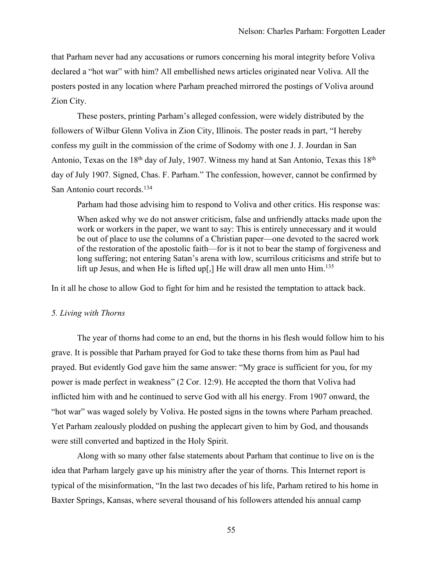that Parham never had any accusations or rumors concerning his moral integrity before Voliva declared a "hot war" with him? All embellished news articles originated near Voliva. All the posters posted in any location where Parham preached mirrored the postings of Voliva around Zion City.

These posters, printing Parham's alleged confession, were widely distributed by the followers of Wilbur Glenn Voliva in Zion City, Illinois. The poster reads in part, "I hereby confess my guilt in the commission of the crime of Sodomy with one J. J. Jourdan in San Antonio, Texas on the  $18<sup>th</sup>$  day of July, 1907. Witness my hand at San Antonio, Texas this  $18<sup>th</sup>$ day of July 1907. Signed, Chas. F. Parham." The confession, however, cannot be confirmed by San Antonio court records.<sup>134</sup>

Parham had those advising him to respond to Voliva and other critics. His response was:

When asked why we do not answer criticism, false and unfriendly attacks made upon the work or workers in the paper, we want to say: This is entirely unnecessary and it would be out of place to use the columns of a Christian paper—one devoted to the sacred work of the restoration of the apostolic faith—for is it not to bear the stamp of forgiveness and long suffering; not entering Satan's arena with low, scurrilous criticisms and strife but to lift up Jesus, and when He is lifted up[,] He will draw all men unto  $\text{Him.}^{135}$ 

In it all he chose to allow God to fight for him and he resisted the temptation to attack back.

#### *5. Living with Thorns*

The year of thorns had come to an end, but the thorns in his flesh would follow him to his grave. It is possible that Parham prayed for God to take these thorns from him as Paul had prayed. But evidently God gave him the same answer: "My grace is sufficient for you, for my power is made perfect in weakness" (2 Cor. 12:9). He accepted the thorn that Voliva had inflicted him with and he continued to serve God with all his energy. From 1907 onward, the "hot war" was waged solely by Voliva. He posted signs in the towns where Parham preached. Yet Parham zealously plodded on pushing the applecart given to him by God, and thousands were still converted and baptized in the Holy Spirit.

Along with so many other false statements about Parham that continue to live on is the idea that Parham largely gave up his ministry after the year of thorns. This Internet report is typical of the misinformation, "In the last two decades of his life, Parham retired to his home in Baxter Springs, Kansas, where several thousand of his followers attended his annual camp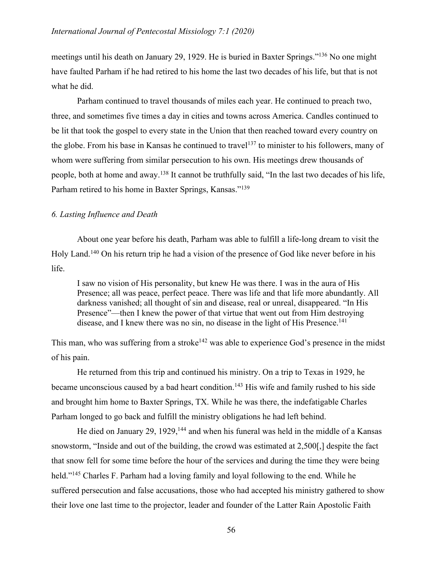meetings until his death on January 29, 1929. He is buried in Baxter Springs."136 No one might have faulted Parham if he had retired to his home the last two decades of his life, but that is not what he did.

Parham continued to travel thousands of miles each year. He continued to preach two, three, and sometimes five times a day in cities and towns across America. Candles continued to be lit that took the gospel to every state in the Union that then reached toward every country on the globe. From his base in Kansas he continued to travel<sup>137</sup> to minister to his followers, many of whom were suffering from similar persecution to his own. His meetings drew thousands of people, both at home and away.138 It cannot be truthfully said, "In the last two decades of his life, Parham retired to his home in Baxter Springs, Kansas."<sup>139</sup>

## *6. Lasting Influence and Death*

About one year before his death, Parham was able to fulfill a life-long dream to visit the Holy Land.140 On his return trip he had a vision of the presence of God like never before in his life.

I saw no vision of His personality, but knew He was there. I was in the aura of His Presence; all was peace, perfect peace. There was life and that life more abundantly. All darkness vanished; all thought of sin and disease, real or unreal, disappeared. "In His Presence"—then I knew the power of that virtue that went out from Him destroying disease, and I knew there was no sin, no disease in the light of His Presence.<sup>141</sup>

This man, who was suffering from a stroke<sup>142</sup> was able to experience God's presence in the midst of his pain.

He returned from this trip and continued his ministry. On a trip to Texas in 1929, he became unconscious caused by a bad heart condition.<sup>143</sup> His wife and family rushed to his side and brought him home to Baxter Springs, TX. While he was there, the indefatigable Charles Parham longed to go back and fulfill the ministry obligations he had left behind.

He died on January 29, 1929,<sup>144</sup> and when his funeral was held in the middle of a Kansas snowstorm, "Inside and out of the building, the crowd was estimated at 2,500[,] despite the fact that snow fell for some time before the hour of the services and during the time they were being held."<sup>145</sup> Charles F. Parham had a loving family and loyal following to the end. While he suffered persecution and false accusations, those who had accepted his ministry gathered to show their love one last time to the projector, leader and founder of the Latter Rain Apostolic Faith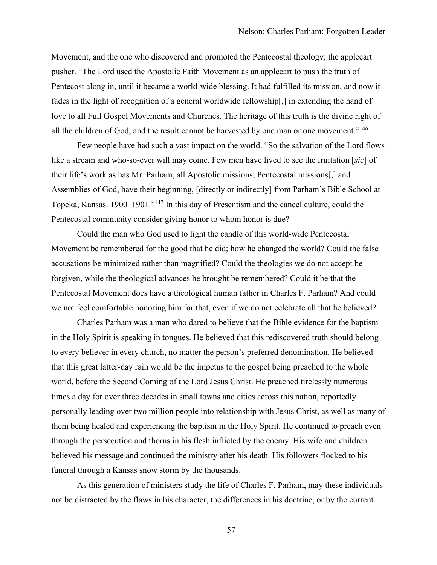Movement, and the one who discovered and promoted the Pentecostal theology; the applecart pusher. "The Lord used the Apostolic Faith Movement as an applecart to push the truth of Pentecost along in, until it became a world-wide blessing. It had fulfilled its mission, and now it fades in the light of recognition of a general worldwide fellowship[,] in extending the hand of love to all Full Gospel Movements and Churches. The heritage of this truth is the divine right of all the children of God, and the result cannot be harvested by one man or one movement."<sup>146</sup>

Few people have had such a vast impact on the world. "So the salvation of the Lord flows like a stream and who-so-ever will may come. Few men have lived to see the fruitation [*sic*] of their life's work as has Mr. Parham, all Apostolic missions, Pentecostal missions[,] and Assemblies of God, have their beginning, [directly or indirectly] from Parham's Bible School at Topeka, Kansas. 1900–1901."147 In this day of Presentism and the cancel culture, could the Pentecostal community consider giving honor to whom honor is due?

Could the man who God used to light the candle of this world-wide Pentecostal Movement be remembered for the good that he did; how he changed the world? Could the false accusations be minimized rather than magnified? Could the theologies we do not accept be forgiven, while the theological advances he brought be remembered? Could it be that the Pentecostal Movement does have a theological human father in Charles F. Parham? And could we not feel comfortable honoring him for that, even if we do not celebrate all that he believed?

Charles Parham was a man who dared to believe that the Bible evidence for the baptism in the Holy Spirit is speaking in tongues. He believed that this rediscovered truth should belong to every believer in every church, no matter the person's preferred denomination. He believed that this great latter-day rain would be the impetus to the gospel being preached to the whole world, before the Second Coming of the Lord Jesus Christ. He preached tirelessly numerous times a day for over three decades in small towns and cities across this nation, reportedly personally leading over two million people into relationship with Jesus Christ, as well as many of them being healed and experiencing the baptism in the Holy Spirit. He continued to preach even through the persecution and thorns in his flesh inflicted by the enemy. His wife and children believed his message and continued the ministry after his death. His followers flocked to his funeral through a Kansas snow storm by the thousands.

As this generation of ministers study the life of Charles F. Parham, may these individuals not be distracted by the flaws in his character, the differences in his doctrine, or by the current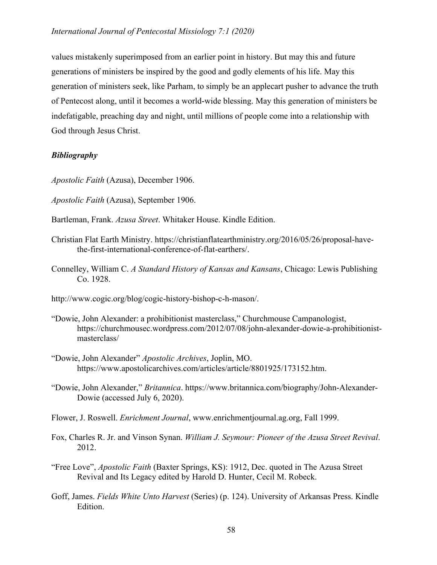## *International Journal of Pentecostal Missiology 7:1 (2020)*

values mistakenly superimposed from an earlier point in history. But may this and future generations of ministers be inspired by the good and godly elements of his life. May this generation of ministers seek, like Parham, to simply be an applecart pusher to advance the truth of Pentecost along, until it becomes a world-wide blessing. May this generation of ministers be indefatigable, preaching day and night, until millions of people come into a relationship with God through Jesus Christ.

## *Bibliography*

*Apostolic Faith* (Azusa), December 1906.

- *Apostolic Faith* (Azusa), September 1906.
- Bartleman, Frank. *Azusa Street*. Whitaker House. Kindle Edition.
- Christian Flat Earth Ministry. https://christianflatearthministry.org/2016/05/26/proposal-havethe-first-international-conference-of-flat-earthers/.
- Connelley, William C. *A Standard History of Kansas and Kansans*, Chicago: Lewis Publishing Co. 1928.
- http://www.cogic.org/blog/cogic-history-bishop-c-h-mason/.
- "Dowie, John Alexander: a prohibitionist masterclass," Churchmouse Campanologist, https://churchmousec.wordpress.com/2012/07/08/john-alexander-dowie-a-prohibitionistmasterclass/
- "Dowie, John Alexander" *Apostolic Archives*, Joplin, MO. https://www.apostolicarchives.com/articles/article/8801925/173152.htm.
- "Dowie, John Alexander," *Britannica*. https://www.britannica.com/biography/John-Alexander-Dowie (accessed July 6, 2020).
- Flower, J. Roswell. *Enrichment Journal*, www.enrichmentjournal.ag.org, Fall 1999.
- Fox, Charles R. Jr. and Vinson Synan. *William J. Seymour: Pioneer of the Azusa Street Revival*. 2012.
- "Free Love", *Apostolic Faith* (Baxter Springs, KS): 1912, Dec. quoted in The Azusa Street Revival and Its Legacy edited by Harold D. Hunter, Cecil M. Robeck.
- Goff, James. *Fields White Unto Harvest* (Series) (p. 124). University of Arkansas Press. Kindle Edition.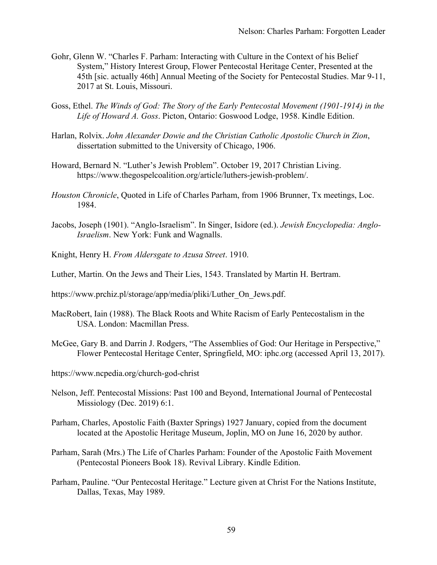- Gohr, Glenn W. "Charles F. Parham: Interacting with Culture in the Context of his Belief System," History Interest Group, Flower Pentecostal Heritage Center, Presented at the 45th [sic. actually 46th] Annual Meeting of the Society for Pentecostal Studies. Mar 9-11, 2017 at St. Louis, Missouri.
- Goss, Ethel. *The Winds of God: The Story of the Early Pentecostal Movement (1901-1914) in the Life of Howard A. Goss*. Picton, Ontario: Goswood Lodge, 1958. Kindle Edition.
- Harlan, Rolvix. *John Alexander Dowie and the Christian Catholic Apostolic Church in Zion*, dissertation submitted to the University of Chicago, 1906.
- Howard, Bernard N. "Luther's Jewish Problem". October 19, 2017 Christian Living. https://www.thegospelcoalition.org/article/luthers-jewish-problem/.
- *Houston Chronicle*, Quoted in Life of Charles Parham, from 1906 Brunner, Tx meetings, Loc. 1984.
- Jacobs, Joseph (1901). "Anglo-Israelism". In Singer, Isidore (ed.). *Jewish Encyclopedia: Anglo-Israelism*. New York: Funk and Wagnalls.
- Knight, Henry H. *From Aldersgate to Azusa Street*. 1910.
- Luther, Martin. On the Jews and Their Lies, 1543. Translated by Martin H. Bertram.
- https://www.prchiz.pl/storage/app/media/pliki/Luther\_On\_Jews.pdf.
- MacRobert, Iain (1988). The Black Roots and White Racism of Early Pentecostalism in the USA. London: Macmillan Press.
- McGee, Gary B. and Darrin J. Rodgers, "The Assemblies of God: Our Heritage in Perspective," Flower Pentecostal Heritage Center, Springfield, MO: iphc.org (accessed April 13, 2017).
- https://www.ncpedia.org/church-god-christ
- Nelson, Jeff. Pentecostal Missions: Past 100 and Beyond, International Journal of Pentecostal Missiology (Dec. 2019) 6:1.
- Parham, Charles, Apostolic Faith (Baxter Springs) 1927 January, copied from the document located at the Apostolic Heritage Museum, Joplin, MO on June 16, 2020 by author.
- Parham, Sarah (Mrs.) The Life of Charles Parham: Founder of the Apostolic Faith Movement (Pentecostal Pioneers Book 18). Revival Library. Kindle Edition.
- Parham, Pauline. "Our Pentecostal Heritage." Lecture given at Christ For the Nations Institute, Dallas, Texas, May 1989.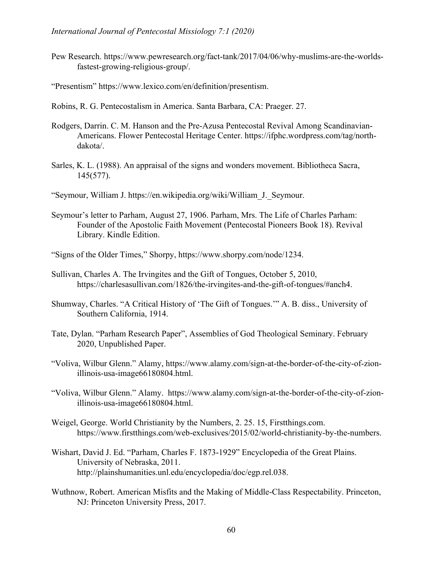- Pew Research. https://www.pewresearch.org/fact-tank/2017/04/06/why-muslims-are-the-worldsfastest-growing-religious-group/.
- "Presentism" https://www.lexico.com/en/definition/presentism.
- Robins, R. G. Pentecostalism in America. Santa Barbara, CA: Praeger. 27.
- Rodgers, Darrin. C. M. Hanson and the Pre-Azusa Pentecostal Revival Among Scandinavian-Americans. Flower Pentecostal Heritage Center. https://ifphc.wordpress.com/tag/northdakota/.
- Sarles, K. L. (1988). An appraisal of the signs and wonders movement. Bibliotheca Sacra, 145(577).
- "Seymour, William J. https://en.wikipedia.org/wiki/William\_J.\_Seymour.
- Seymour's letter to Parham, August 27, 1906. Parham, Mrs. The Life of Charles Parham: Founder of the Apostolic Faith Movement (Pentecostal Pioneers Book 18). Revival Library. Kindle Edition.
- "Signs of the Older Times," Shorpy, https://www.shorpy.com/node/1234.
- Sullivan, Charles A. The Irvingites and the Gift of Tongues, October 5, 2010, https://charlesasullivan.com/1826/the-irvingites-and-the-gift-of-tongues/#anch4.
- Shumway, Charles. "A Critical History of 'The Gift of Tongues.'" A. B. diss., University of Southern California, 1914.
- Tate, Dylan. "Parham Research Paper", Assemblies of God Theological Seminary. February 2020, Unpublished Paper.
- "Voliva, Wilbur Glenn." Alamy, https://www.alamy.com/sign-at-the-border-of-the-city-of-zionillinois-usa-image66180804.html.
- "Voliva, Wilbur Glenn." Alamy. https://www.alamy.com/sign-at-the-border-of-the-city-of-zionillinois-usa-image66180804.html.
- Weigel, George. World Christianity by the Numbers, 2. 25. 15, Firstthings.com. https://www.firstthings.com/web-exclusives/2015/02/world-christianity-by-the-numbers.
- Wishart, David J. Ed. "Parham, Charles F. 1873-1929" Encyclopedia of the Great Plains. University of Nebraska, 2011. http://plainshumanities.unl.edu/encyclopedia/doc/egp.rel.038.
- Wuthnow, Robert. American Misfits and the Making of Middle-Class Respectability. Princeton, NJ: Princeton University Press, 2017.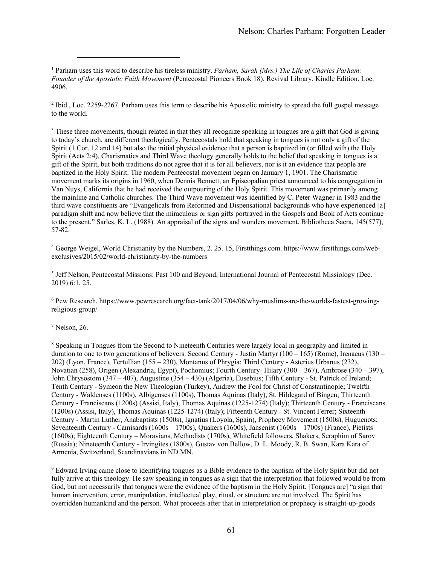<sup>1</sup> Parham uses this word to describe his tireless ministry. *Parham, Sarah (Mrs.) The Life of Charles Parham: Founder of the Apostolic Faith Movement* (Pentecostal Pioneers Book 18). Revival Library. Kindle Edition. Loc. 4906.

<sup>2</sup> Ibid., Loc. 2259-2267. Parham uses this term to describe his Apostolic ministry to spread the full gospel message to the world.

<sup>3</sup> These three movements, though related in that they all recognize speaking in tongues are a gift that God is giving to today's church, are different theologically. Pentecostals hold that speaking in tongues is not only a gift of the Spirit (1 Cor. 12 and 14) but also the initial physical evidence that a person is baptized in (or filled with) the Holy Spirit (Acts 2:4). Charismatics and Third Wave theology generally holds to the belief that speaking in tongues is a gift of the Spirit, but both traditions do not agree that it is for all believers, nor is it an evidence that people are baptized in the Holy Spirit. The modern Pentecostal movement began on January 1, 1901. The Charismatic movement marks its origins in 1960, when Dennis Bennett, an Episcopalian priest announced to his congregation in Van Nuys, California that he had received the outpouring of the Holy Spirit. This movement was primarily among the mainline and Catholic churches. The Third Wave movement was identified by C. Peter Wagner in 1983 and the third wave constituents are "Evangelicals from Reformed and Dispensational backgrounds who have experienced [a] paradigm shift and now believe that the miraculous or sign gifts portrayed in the Gospels and Book of Acts continue to the present." Sarles, K. L. (1988). An appraisal of the signs and wonders movement. Bibliotheca Sacra, 145(577), 57-82.

<sup>4</sup> George Weigel, World Christianity by the Numbers, 2. 25. 15, Firstthings.com. https://www.firstthings.com/webexclusives/2015/02/world-christianity-by-the-numbers

<sup>5</sup> Jeff Nelson, Pentecostal Missions: Past 100 and Beyond, International Journal of Pentecostal Missiology (Dec. 2019) 6:1, 25.

<sup>6</sup> Pew Research. https://www.pewresearch.org/fact-tank/2017/04/06/why-muslims-are-the-worlds-fastest-growingreligious-group/

<sup>7</sup> Nelson, 26.

<sup>8</sup> Speaking in Tongues from the Second to Nineteenth Centuries were largely local in geography and limited in duration to one to two generations of believers. Second Century - Justin Martyr (100 – 165) (Rome), Irenaeus (130 – 202) (Lyon, France), Tertullian (155 – 230), Montanus of Phrygia; Third Century - Asterius Urbanus (232), Novatian (258), Origen (Alexandria, Egypt), Pochomius; Fourth Century- Hilary (300 – 367), Ambrose (340 – 397), John Chrysostom (347 – 407), Augustine (354 – 430) (Algeria), Eusebius; Fifth Century - St. Patrick of Ireland; Tenth Century - Symeon the New Theologian (Turkey), Andrew the Fool for Christ of Constantinople; Twelfth Century - Waldenses (1100s), Albigenses (1100s), Thomas Aquinas (Italy), St. Hildegard of Bingen; Thirteenth Century - Franciscans (1200s) (Assisi, Italy), Thomas Aquinas (1225-1274) (Italy); Thirteenth Century - Franciscans (1200s) (Assisi, Italy), Thomas Aquinas (1225-1274) (Italy); Fifteenth Century - St. Vincent Ferrer; Sixteenth Century - Martin Luther, Anabaptists (1500s), Ignatius (Loyola, Spain), Prophecy Movement (1500s), Huguenots; Seventeenth Century - Camisards (1600s – 1700s), Quakers (1600s), Jansenist (1600s – 1700s) (France), Pietists (1600s); Eighteenth Century – Moravians, Methodists (1700s), Whitefield followers, Shakers, Seraphim of Sarov (Russia); Nineteenth Century - Irvingites (1800s), Gustav von Bellow, D. L. Moody, R. B. Swan, Kara Kara of Armenia, Switzerland, Scandinavians in ND MN.

<sup>9</sup> Edward Irving came close to identifying tongues as a Bible evidence to the baptism of the Holy Spirit but did not fully arrive at this theology. He saw speaking in tongues as a sign that the interpretation that followed would be from God, but not necessarily that tongues were the evidence of the baptism in the Holy Spirit. [Tongues are] "a sign that human intervention, error, manipulation, intellectual play, ritual, or structure are not involved. The Spirit has overridden humankind and the person. What proceeds after that in interpretation or prophecy is straight-up-goods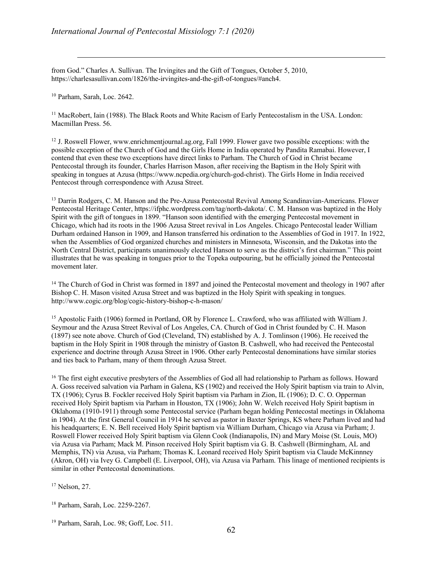from God." Charles A. Sullivan. The Irvingites and the Gift of Tongues, October 5, 2010, https://charlesasullivan.com/1826/the-irvingites-and-the-gift-of-tongues/#anch4.

<sup>10</sup> Parham, Sarah, Loc. 2642.

<sup>11</sup> MacRobert, Iain (1988). The Black Roots and White Racism of Early Pentecostalism in the USA. London: Macmillan Press. 56.

<sup>12</sup> J. Roswell Flower, www.enrichmentjournal.ag.org, Fall 1999. Flower gave two possible exceptions: with the possible exception of the Church of God and the Girls Home in India operated by Pandita Ramabai. However, I contend that even these two exceptions have direct links to Parham. The Church of God in Christ became Pentecostal through its founder, Charles Harrison Mason, after receiving the Baptism in the Holy Spirit with speaking in tongues at Azusa (https://www.ncpedia.org/church-god-christ). The Girls Home in India received Pentecost through correspondence with Azusa Street.

<sup>13</sup> Darrin Rodgers, C. M. Hanson and the Pre-Azusa Pentecostal Revival Among Scandinavian-Americans. Flower Pentecostal Heritage Center, https://ifphc.wordpress.com/tag/north-dakota/. C. M. Hanson was baptized in the Holy Spirit with the gift of tongues in 1899. "Hanson soon identified with the emerging Pentecostal movement in Chicago, which had its roots in the 1906 Azusa Street revival in Los Angeles. Chicago Pentecostal leader William Durham ordained Hanson in 1909, and Hanson transferred his ordination to the Assemblies of God in 1917. In 1922, when the Assemblies of God organized churches and ministers in Minnesota, Wisconsin, and the Dakotas into the North Central District, participants unanimously elected Hanson to serve as the district's first chairman." This point illustrates that he was speaking in tongues prior to the Topeka outpouring, but he officially joined the Pentecostal movement later.

<sup>14</sup> The Church of God in Christ was formed in 1897 and joined the Pentecostal movement and theology in 1907 after Bishop C. H. Mason visited Azusa Street and was baptized in the Holy Spirit with speaking in tongues. http://www.cogic.org/blog/cogic-history-bishop-c-h-mason/

<sup>15</sup> Apostolic Faith (1906) formed in Portland, OR by Florence L. Crawford, who was affiliated with William J. Seymour and the Azusa Street Revival of Los Angeles, CA. Church of God in Christ founded by C. H. Mason (1897) see note above. Church of God (Cleveland, TN) established by A. J. Tomlinson (1906). He received the baptism in the Holy Spirit in 1908 through the ministry of Gaston B. Cashwell, who had received the Pentecostal experience and doctrine through Azusa Street in 1906. Other early Pentecostal denominations have similar stories and ties back to Parham, many of them through Azusa Street.

<sup>16</sup> The first eight executive presbyters of the Assemblies of God all had relationship to Parham as follows. Howard A. Goss received salvation via Parham in Galena, KS (1902) and received the Holy Spirit baptism via train to Alvin, TX (1906); Cyrus B. Fockler received Holy Spirit baptism via Parham in Zion, IL (1906); D. C. O. Opperman received Holy Spirit baptism via Parham in Houston, TX (1906); John W. Welch received Holy Spirit baptism in Oklahoma (1910-1911) through some Pentecostal service (Parham began holding Pentecostal meetings in Oklahoma in 1904). At the first General Council in 1914 he served as pastor in Baxter Springs, KS where Parham lived and had his headquarters; E. N. Bell received Holy Spirit baptism via William Durham, Chicago via Azusa via Parham; J. Roswell Flower received Holy Spirit baptism via Glenn Cook (Indianapolis, IN) and Mary Moise (St. Louis, MO) via Azusa via Parham; Mack M. Pinson received Holy Spirit baptism via G. B. Cashwell (Birmingham, AL and Memphis, TN) via Azusa, via Parham; Thomas K. Leonard received Holy Spirit baptism via Claude McKinnney (Akron, OH) via Ivey G. Campbell (E. Liverpool, OH), via Azusa via Parham. This linage of mentioned recipients is similar in other Pentecostal denominations.

<sup>17</sup> Nelson, 27.

<sup>18</sup> Parham, Sarah, Loc. 2259-2267.

<sup>19</sup> Parham, Sarah, Loc. 98; Goff, Loc. 511.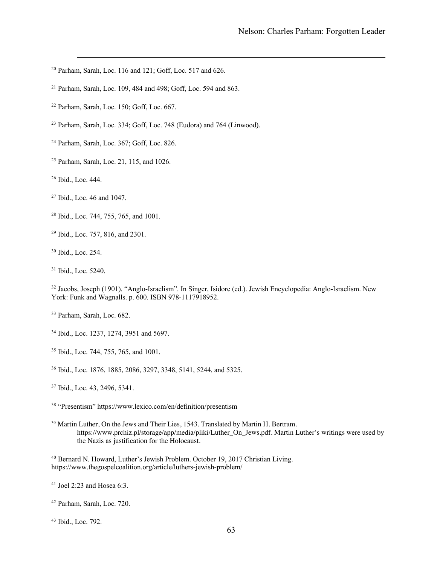- Parham, Sarah, Loc. 116 and 121; Goff, Loc. 517 and 626.
- Parham, Sarah, Loc. 109, 484 and 498; Goff, Loc. 594 and 863.
- Parham, Sarah, Loc. 150; Goff, Loc. 667.
- Parham, Sarah, Loc. 334; Goff, Loc. 748 (Eudora) and 764 (Linwood).
- Parham, Sarah, Loc. 367; Goff, Loc. 826.
- Parham, Sarah, Loc. 21, 115, and 1026.
- Ibid., Loc. 444.
- Ibid., Loc. 46 and 1047.
- Ibid., Loc. 744, 755, 765, and 1001.
- Ibid., Loc. 757, 816, and 2301.
- Ibid., Loc. 254.
- Ibid., Loc. 5240.

<sup>32</sup> Jacobs, Joseph (1901). "Anglo-Israelism". In Singer, Isidore (ed.). Jewish Encyclopedia: Anglo-Israelism. New York: Funk and Wagnalls. p. 600. ISBN 978-1117918952.

- Parham, Sarah, Loc. 682.
- Ibid., Loc. 1237, 1274, 3951 and 5697.
- Ibid., Loc. 744, 755, 765, and 1001.
- Ibid., Loc. 1876, 1885, 2086, 3297, 3348, 5141, 5244, and 5325.
- Ibid., Loc. 43, 2496, 5341.
- "Presentism" https://www.lexico.com/en/definition/presentism
- Martin Luther, On the Jews and Their Lies, 1543. Translated by Martin H. Bertram. https://www.prchiz.pl/storage/app/media/pliki/Luther\_On\_Jews.pdf. Martin Luther's writings were used by the Nazis as justification for the Holocaust.
- Bernard N. Howard, Luther's Jewish Problem. October 19, 2017 Christian Living. https://www.thegospelcoalition.org/article/luthers-jewish-problem/
- Joel 2:23 and Hosea 6:3.
- Parham, Sarah, Loc. 720.
- Ibid., Loc. 792.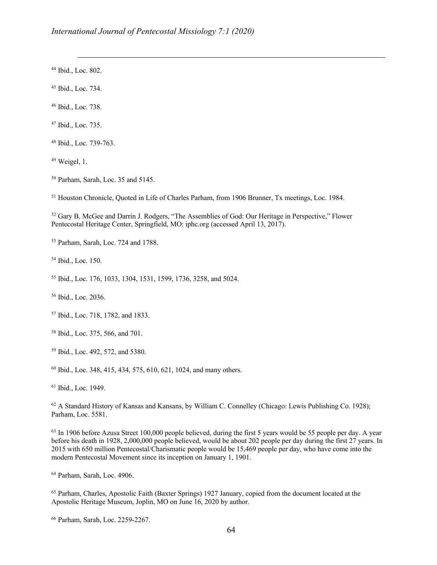Ibid., Loc. 802.

Ibid., Loc. 734.

Ibid., Loc. 738.

Ibid., Loc. 735.

Ibid., Loc. 739-763.

Weigel, 1.

Parham, Sarah, Loc. 35 and 5145.

<sup>51</sup> Houston Chronicle, Quoted in Life of Charles Parham, from 1906 Brunner, Tx meetings, Loc. 1984.

<sup>52</sup> Gary B. McGee and Darrin J. Rodgers, "The Assemblies of God: Our Heritage in Perspective," Flower Pentecostal Heritage Center, Springfield, MO: iphc.org (accessed April 13, 2017).

Parham, Sarah, Loc. 724 and 1788.

Ibid., Loc. 150.

Ibid., Loc. 176, 1033, 1304, 1531, 1599, 1736, 3258, and 5024.

Ibid., Loc. 2036.

Ibid., Loc. 718, 1782, and 1833.

Ibid., Loc. 375, 566, and 701.

Ibid., Loc. 492, 572, and 5380.

Ibid., Loc. 348, 415, 434, 575, 610, 621, 1024, and many others.

Ibid., Loc. 1949.

<sup>62</sup> A Standard History of Kansas and Kansans, by William C. Connelley (Chicago: Lewis Publishing Co. 1928); Parham, Loc. 5581.

<sup>63</sup> In 1906 before Azusa Street 100,000 people believed, during the first 5 years would be 55 people per day. A year before his death in 1928, 2,000,000 people believed, would be about 202 people per day during the first 27 years. In 2015 with 650 million Pentecostal/Charismatic people would be 15,469 people per day, who have come into the modern Pentecostal Movement since its inception on January 1, 1901.

Parham, Sarah, Loc. 4906.

 Parham, Charles, Apostolic Faith (Baxter Springs) 1927 January, copied from the document located at the Apostolic Heritage Museum, Joplin, MO on June 16, 2020 by author.

Parham, Sarah, Loc. 2259-2267.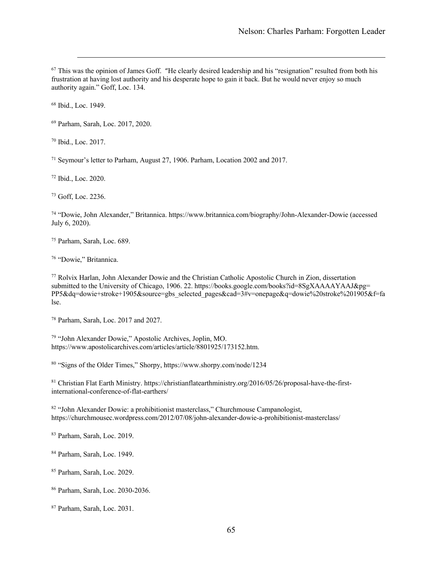<sup>67</sup> This was the opinion of James Goff. "He clearly desired leadership and his "resignation" resulted from both his frustration at having lost authority and his desperate hope to gain it back. But he would never enjoy so much authority again." Goff, Loc. 134.

Ibid., Loc. 1949.

Parham, Sarah, Loc. 2017, 2020.

Ibid., Loc. 2017.

Seymour's letter to Parham, August 27, 1906. Parham, Location 2002 and 2017.

Ibid., Loc. 2020.

Goff, Loc. 2236.

 "Dowie, John Alexander," Britannica. https://www.britannica.com/biography/John-Alexander-Dowie (accessed July 6, 2020).

Parham, Sarah, Loc. 689.

"Dowie," Britannica.

 Rolvix Harlan, John Alexander Dowie and the Christian Catholic Apostolic Church in Zion, dissertation submitted to the University of Chicago, 1906. 22. https://books.google.com/books?id=8SgXAAAAYAAJ&pg= PP5&dq=dowie+stroke+1905&source=gbs\_selected\_pages&cad=3#v=onepage&q=dowie%20stroke%201905&f=fa lse.

Parham, Sarah, Loc. 2017 and 2027.

 "John Alexander Dowie," Apostolic Archives, Joplin, MO. https://www.apostolicarchives.com/articles/article/8801925/173152.htm.

"Signs of the Older Times," Shorpy, https://www.shorpy.com/node/1234

 Christian Flat Earth Ministry. https://christianflatearthministry.org/2016/05/26/proposal-have-the-firstinternational-conference-of-flat-earthers/

 "John Alexander Dowie: a prohibitionist masterclass," Churchmouse Campanologist, https://churchmousec.wordpress.com/2012/07/08/john-alexander-dowie-a-prohibitionist-masterclass/

Parham, Sarah, Loc. 2019.

Parham, Sarah, Loc. 1949.

Parham, Sarah, Loc. 2029.

Parham, Sarah, Loc. 2030-2036.

Parham, Sarah, Loc. 2031.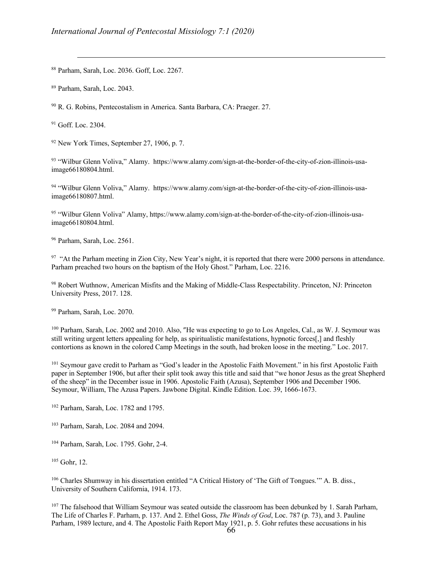<sup>88</sup> Parham, Sarah, Loc. 2036. Goff, Loc. 2267.

<sup>89</sup> Parham, Sarah, Loc. 2043.

<sup>90</sup> R. G. Robins, Pentecostalism in America. Santa Barbara, CA: Praeger. 27.

 $91$  Goff. Loc. 2304.

 $92$  New York Times, September 27, 1906, p. 7.

<sup>93</sup> "Wilbur Glenn Voliva," Alamy. https://www.alamy.com/sign-at-the-border-of-the-city-of-zion-illinois-usaimage66180804.html.

94 "Wilbur Glenn Voliva," Alamy. https://www.alamy.com/sign-at-the-border-of-the-city-of-zion-illinois-usaimage66180807.html.

<sup>95</sup> "Wilbur Glenn Voliva" Alamy, https://www.alamy.com/sign-at-the-border-of-the-city-of-zion-illinois-usaimage66180804.html.

<sup>96</sup> Parham, Sarah, Loc. 2561.

 $97$  "At the Parham meeting in Zion City, New Year's night, it is reported that there were 2000 persons in attendance. Parham preached two hours on the baptism of the Holy Ghost." Parham, Loc. 2216.

<sup>98</sup> Robert Wuthnow, American Misfits and the Making of Middle-Class Respectability. Princeton, NJ: Princeton University Press, 2017. 128.

<sup>99</sup> Parham, Sarah, Loc. 2070.

<sup>100</sup> Parham, Sarah, Loc. 2002 and 2010. Also, "He was expecting to go to Los Angeles, Cal., as W. J. Seymour was still writing urgent letters appealing for help, as spiritualistic manifestations, hypnotic forces[,] and fleshly contortions as known in the colored Camp Meetings in the south, had broken loose in the meeting." Loc. 2017.

<sup>101</sup> Seymour gave credit to Parham as "God's leader in the Apostolic Faith Movement." in his first Apostolic Faith paper in September 1906, but after their split took away this title and said that "we honor Jesus as the great Shepherd of the sheep" in the December issue in 1906. Apostolic Faith (Azusa), September 1906 and December 1906. Seymour, William, The Azusa Papers. Jawbone Digital. Kindle Edition. Loc. 39, 1666-1673.

<sup>102</sup> Parham, Sarah, Loc. 1782 and 1795.

<sup>103</sup> Parham, Sarah, Loc. 2084 and 2094.

<sup>104</sup> Parham, Sarah, Loc. 1795. Gohr, 2-4.

<sup>105</sup> Gohr, 12.

<sup>106</sup> Charles Shumway in his dissertation entitled "A Critical History of 'The Gift of Tongues.'" A. B. diss., University of Southern California, 1914. 173.

<sup>107</sup> The falsehood that William Seymour was seated outside the classroom has been debunked by 1. Sarah Parham, The Life of Charles F. Parham, p. 137. And 2. Ethel Goss, *The Winds of God*, Loc. 787 (p. 73), and 3. Pauline Parham, 1989 lecture, and 4. The Apostolic Faith Report May 1921, p. 5. Gohr refutes these accusations in his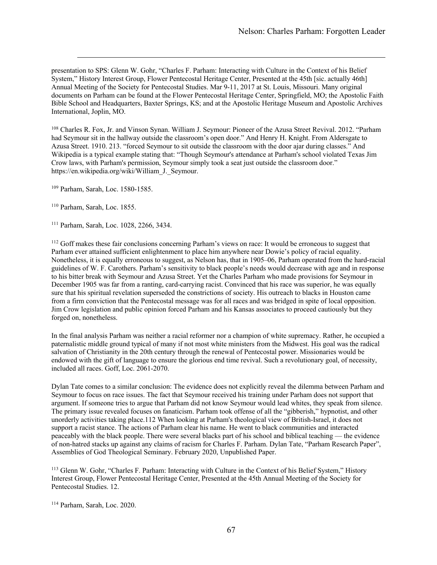presentation to SPS: Glenn W. Gohr, "Charles F. Parham: Interacting with Culture in the Context of his Belief System," History Interest Group, Flower Pentecostal Heritage Center, Presented at the 45th [sic. actually 46th] Annual Meeting of the Society for Pentecostal Studies. Mar 9-11, 2017 at St. Louis, Missouri. Many original documents on Parham can be found at the Flower Pentecostal Heritage Center, Springfield, MO; the Apostolic Faith Bible School and Headquarters, Baxter Springs, KS; and at the Apostolic Heritage Museum and Apostolic Archives International, Joplin, MO.

<sup>108</sup> Charles R. Fox, Jr. and Vinson Synan. William J. Seymour: Pioneer of the Azusa Street Revival. 2012. "Parham had Seymour sit in the hallway outside the classroom's open door." And Henry H. Knight. From Aldersgate to Azusa Street. 1910. 213. "forced Seymour to sit outside the classroom with the door ajar during classes." And Wikipedia is a typical example stating that: "Though Seymour's attendance at Parham's school violated Texas Jim Crow laws, with Parham's permission, Seymour simply took a seat just outside the classroom door." https://en.wikipedia.org/wiki/William\_J.\_Seymour.

<sup>109</sup> Parham, Sarah, Loc. 1580-1585.

<sup>110</sup> Parham, Sarah, Loc. 1855.

<sup>111</sup> Parham, Sarah, Loc. 1028, 2266, 3434.

<sup>112</sup> Goff makes these fair conclusions concerning Parham's views on race: It would be erroneous to suggest that Parham ever attained sufficient enlightenment to place him anywhere near Dowie's policy of racial equality. Nonetheless, it is equally erroneous to suggest, as Nelson has, that in 1905–06, Parham operated from the hard-racial guidelines of W. F. Carothers. Parham's sensitivity to black people's needs would decrease with age and in response to his bitter break with Seymour and Azusa Street. Yet the Charles Parham who made provisions for Seymour in December 1905 was far from a ranting, card-carrying racist. Convinced that his race was superior, he was equally sure that his spiritual revelation superseded the constrictions of society. His outreach to blacks in Houston came from a firm conviction that the Pentecostal message was for all races and was bridged in spite of local opposition. Jim Crow legislation and public opinion forced Parham and his Kansas associates to proceed cautiously but they forged on, nonetheless.

In the final analysis Parham was neither a racial reformer nor a champion of white supremacy. Rather, he occupied a paternalistic middle ground typical of many if not most white ministers from the Midwest. His goal was the radical salvation of Christianity in the 20th century through the renewal of Pentecostal power. Missionaries would be endowed with the gift of language to ensure the glorious end time revival. Such a revolutionary goal, of necessity, included all races. Goff, Loc. 2061-2070.

Dylan Tate comes to a similar conclusion: The evidence does not explicitly reveal the dilemma between Parham and Seymour to focus on race issues. The fact that Seymour received his training under Parham does not support that argument. If someone tries to argue that Parham did not know Seymour would lead whites, they speak from silence. The primary issue revealed focuses on fanaticism. Parham took offense of all the "gibberish," hypnotist, and other unorderly activities taking place.112 When looking at Parham's theological view of British-Israel, it does not support a racist stance. The actions of Parham clear his name. He went to black communities and interacted peaceably with the black people. There were several blacks part of his school and biblical teaching — the evidence of non-hatred stacks up against any claims of racism for Charles F. Parham. Dylan Tate, "Parham Research Paper", Assemblies of God Theological Seminary. February 2020, Unpublished Paper.

<sup>113</sup> Glenn W. Gohr, "Charles F. Parham: Interacting with Culture in the Context of his Belief System," History Interest Group, Flower Pentecostal Heritage Center, Presented at the 45th Annual Meeting of the Society for Pentecostal Studies. 12.

<sup>114</sup> Parham, Sarah, Loc. 2020.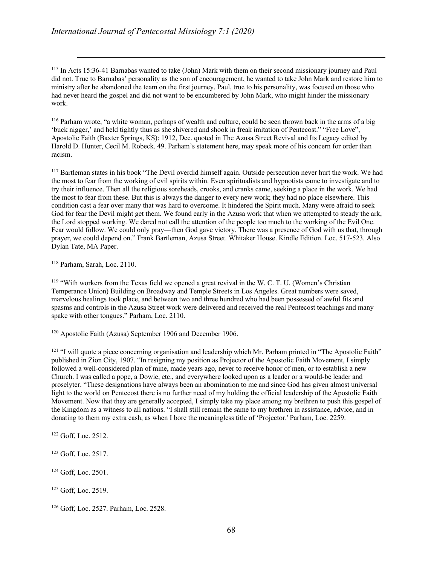<sup>115</sup> In Acts 15:36-41 Barnabas wanted to take (John) Mark with them on their second missionary journey and Paul did not. True to Barnabas' personality as the son of encouragement, he wanted to take John Mark and restore him to ministry after he abandoned the team on the first journey. Paul, true to his personality, was focused on those who had never heard the gospel and did not want to be encumbered by John Mark, who might hinder the missionary work.

<sup>116</sup> Parham wrote, "a white woman, perhaps of wealth and culture, could be seen thrown back in the arms of a big 'buck nigger,' and held tightly thus as she shivered and shook in freak imitation of Pentecost." "Free Love", Apostolic Faith (Baxter Springs, KS): 1912, Dec. quoted in The Azusa Street Revival and Its Legacy edited by Harold D. Hunter, Cecil M. Robeck. 49. Parham's statement here, may speak more of his concern for order than racism.

<sup>117</sup> Bartleman states in his book "The Devil overdid himself again. Outside persecution never hurt the work. We had the most to fear from the working of evil spirits within. Even spiritualists and hypnotists came to investigate and to try their influence. Then all the religious soreheads, crooks, and cranks came, seeking a place in the work. We had the most to fear from these. But this is always the danger to every new work; they had no place elsewhere. This condition cast a fear over many that was hard to overcome. It hindered the Spirit much. Many were afraid to seek God for fear the Devil might get them. We found early in the Azusa work that when we attempted to steady the ark, the Lord stopped working. We dared not call the attention of the people too much to the working of the Evil One. Fear would follow. We could only pray—then God gave victory. There was a presence of God with us that, through prayer, we could depend on." Frank Bartleman, Azusa Street. Whitaker House. Kindle Edition. Loc. 517-523. Also Dylan Tate, MA Paper.

<sup>118</sup> Parham, Sarah, Loc. 2110.

<sup>119</sup> "With workers from the Texas field we opened a great revival in the W. C. T. U. (Women's Christian Temperance Union) Building on Broadway and Temple Streets in Los Angeles. Great numbers were saved, marvelous healings took place, and between two and three hundred who had been possessed of awful fits and spasms and controls in the Azusa Street work were delivered and received the real Pentecost teachings and many spake with other tongues." Parham, Loc. 2110.

<sup>120</sup> Apostolic Faith (Azusa) September 1906 and December 1906.

 $121$  "I will quote a piece concerning organisation and leadership which Mr. Parham printed in "The Apostolic Faith" published in Zion City, 1907. "In resigning my position as Projector of the Apostolic Faith Movement, I simply followed a well-considered plan of mine, made years ago, never to receive honor of men, or to establish a new Church. I was called a pope, a Dowie, etc., and everywhere looked upon as a leader or a would-be leader and proselyter. "These designations have always been an abomination to me and since God has given almost universal light to the world on Pentecost there is no further need of my holding the official leadership of the Apostolic Faith Movement. Now that they are generally accepted, I simply take my place among my brethren to push this gospel of the Kingdom as a witness to all nations. "I shall still remain the same to my brethren in assistance, advice, and in donating to them my extra cash, as when I bore the meaningless title of 'Projector.' Parham, Loc. 2259.

<sup>122</sup> Goff, Loc. 2512.

<sup>123</sup> Goff, Loc. 2517.

<sup>124</sup> Goff, Loc. 2501.

<sup>125</sup> Goff, Loc. 2519.

<sup>126</sup> Goff, Loc. 2527. Parham, Loc. 2528.